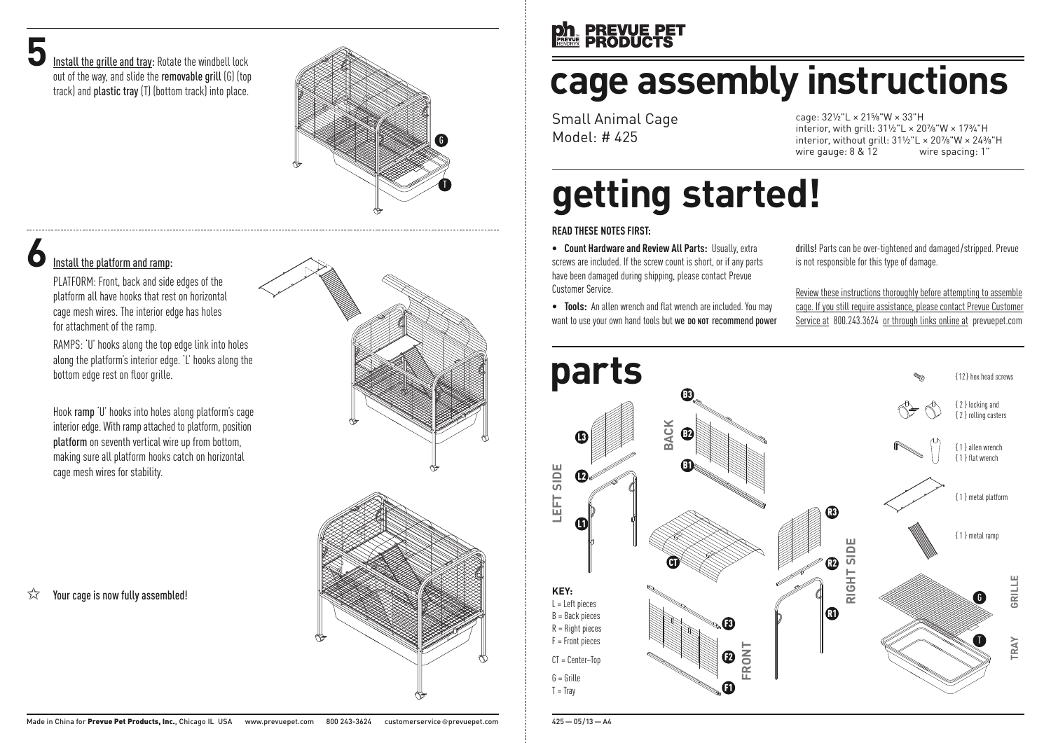**5**<br>Install the grille and tray: Rotate the windbell lock out of the way, and slide the removable grill (G) (top track) and plastic tray (T) (bottom track) into place.



### **6**Install the platform and ramp:

PLATFORM: Front, back and side edges of the platform all have hooks that rest on horizontal cage mesh wires. The interior edge has holes for attachment of the ramp.

RAMPS: 'U' hooks along the top edge link into holes along the platform's interior edge. 'L' hooks along the bottom edge rest on floor grille.

Hook ramp 'U' hooks into holes along platform's cage interior edge. With ramp attached to platform, position platform on seventh vertical wire up from bottom, making sure all platform hooks catch on horizontal cage mesh wires for stability.

#### $\sqrt{\chi}$  Your cage is now fully assembled!





## **ph PREVUE PET**<br>**RESERVED**

# **cage assembly instructions**

Small Animal Cage Model: # 425

cage: 32½"L × 21⅝"W × 33"H interior, with grill: 31½"L × 20⅞"W × 17¾"H interior, without grill:  $31\frac{1}{2}$ "L ×  $20\frac{7}{8}$ "W ×  $24\frac{7}{8}$ "H<br>wire gauge: 8 & 12 wire spacing: 1" wire gauge:  $8 & 12$ 

# **getting started!**

#### **READ THESE NOTES FIRST:**

**• Count Hardwareand Review All Parts:** Usually, extra screws are included. If the screw count is short, or if any parts have been damaged during shipping, please contact Prevue Customer Service.

• **Tools:** An allen wrench and flat wrench are included. You may want to use your own hand tools but we **DO** NOT recommend power drills! Parts can be over-tightened and damaged /stripped. Prevue is not responsible for this type of damage.

Review these instructions thoroughly before attempting to assemble cage. If you still require assistance, please contact Prevue Customer Service at 800.243.3624 or through links online at prevuepet.com



425—05/13—A4